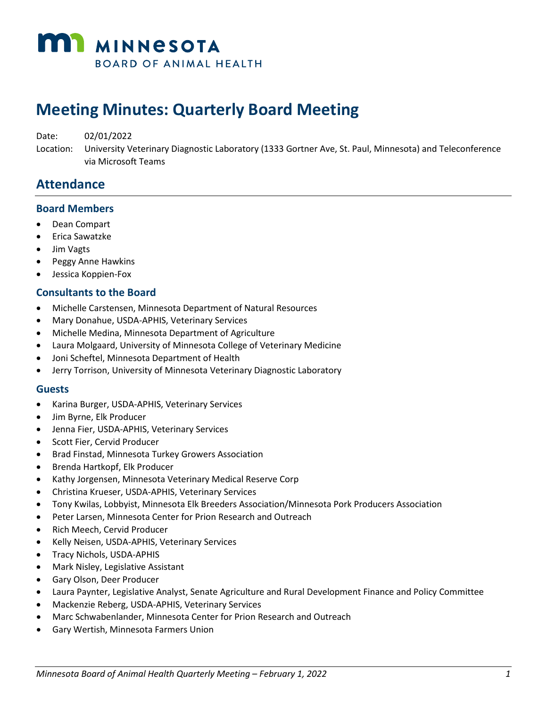

# **Meeting Minutes: Quarterly Board Meeting**

Date: 02/01/2022

Location: University Veterinary Diagnostic Laboratory (1333 Gortner Ave, St. Paul, Minnesota) and Teleconference via Microsoft Teams

### **Attendance**

#### **Board Members**

- Dean Compart
- Erica Sawatzke
- Jim Vagts
- Peggy Anne Hawkins
- Jessica Koppien-Fox

#### **Consultants to the Board**

- Michelle Carstensen, Minnesota Department of Natural Resources
- Mary Donahue, USDA-APHIS, Veterinary Services
- Michelle Medina, Minnesota Department of Agriculture
- Laura Molgaard, University of Minnesota College of Veterinary Medicine
- Joni Scheftel, Minnesota Department of Health
- Jerry Torrison, University of Minnesota Veterinary Diagnostic Laboratory

#### **Guests**

- Karina Burger, USDA-APHIS, Veterinary Services
- Jim Byrne, Elk Producer
- Jenna Fier, USDA-APHIS, Veterinary Services
- Scott Fier, Cervid Producer
- Brad Finstad, Minnesota Turkey Growers Association
- Brenda Hartkopf, Elk Producer
- Kathy Jorgensen, Minnesota Veterinary Medical Reserve Corp
- Christina Krueser, USDA-APHIS, Veterinary Services
- Tony Kwilas, Lobbyist, Minnesota Elk Breeders Association/Minnesota Pork Producers Association
- Peter Larsen, Minnesota Center for Prion Research and Outreach
- Rich Meech, Cervid Producer
- Kelly Neisen, USDA-APHIS, Veterinary Services
- Tracy Nichols, USDA-APHIS
- Mark Nisley, Legislative Assistant
- Gary Olson, Deer Producer
- Laura Paynter, Legislative Analyst, Senate Agriculture and Rural Development Finance and Policy Committee
- Mackenzie Reberg, USDA-APHIS, Veterinary Services
- Marc Schwabenlander, Minnesota Center for Prion Research and Outreach
- Gary Wertish, Minnesota Farmers Union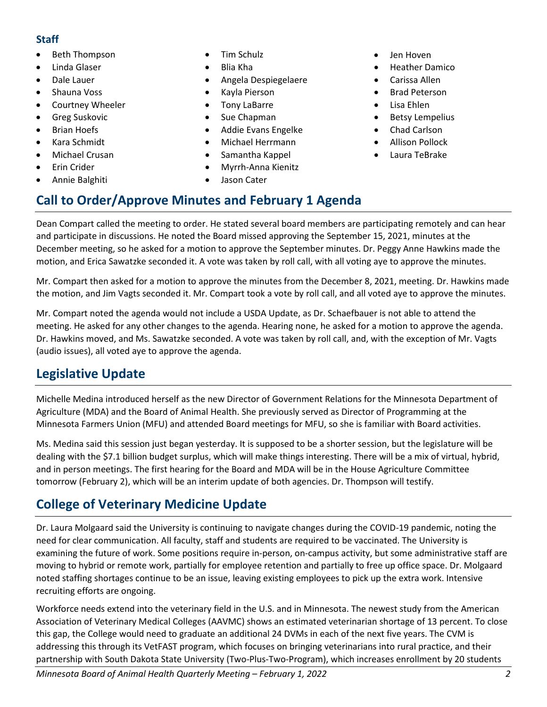#### **Staff**

- Beth Thompson
- Linda Glaser
- Dale Lauer
- Shauna Voss
- Courtney Wheeler
- Greg Suskovic
- Brian Hoefs
- Kara Schmidt
- Michael Crusan
- Erin Crider
- Annie Balghiti
- Tim Schulz
- Blia Kha
- Angela Despiegelaere
- Kayla Pierson
- Tony LaBarre
- Sue Chapman
- Addie Evans Engelke
- Michael Herrmann
- Samantha Kappel
- Myrrh-Anna Kienitz
- Jason Cater

**Call to Order/Approve Minutes and February 1 Agenda**

- Jen Hoven
- Heather Damico
- Carissa Allen
- Brad Peterson
- Lisa Ehlen
- Betsy Lempelius
- Chad Carlson
- Allison Pollock
- Laura TeBrake

Dean Compart called the meeting to order. He stated several board members are participating remotely and can hear and participate in discussions. He noted the Board missed approving the September 15, 2021, minutes at the December meeting, so he asked for a motion to approve the September minutes. Dr. Peggy Anne Hawkins made the motion, and Erica Sawatzke seconded it. A vote was taken by roll call, with all voting aye to approve the minutes.

Mr. Compart then asked for a motion to approve the minutes from the December 8, 2021, meeting. Dr. Hawkins made the motion, and Jim Vagts seconded it. Mr. Compart took a vote by roll call, and all voted aye to approve the minutes.

Mr. Compart noted the agenda would not include a USDA Update, as Dr. Schaefbauer is not able to attend the meeting. He asked for any other changes to the agenda. Hearing none, he asked for a motion to approve the agenda. Dr. Hawkins moved, and Ms. Sawatzke seconded. A vote was taken by roll call, and, with the exception of Mr. Vagts (audio issues), all voted aye to approve the agenda.

# **Legislative Update**

Michelle Medina introduced herself as the new Director of Government Relations for the Minnesota Department of Agriculture (MDA) and the Board of Animal Health. She previously served as Director of Programming at the Minnesota Farmers Union (MFU) and attended Board meetings for MFU, so she is familiar with Board activities.

Ms. Medina said this session just began yesterday. It is supposed to be a shorter session, but the legislature will be dealing with the \$7.1 billion budget surplus, which will make things interesting. There will be a mix of virtual, hybrid, and in person meetings. The first hearing for the Board and MDA will be in the House Agriculture Committee tomorrow (February 2), which will be an interim update of both agencies. Dr. Thompson will testify.

# **College of Veterinary Medicine Update**

Dr. Laura Molgaard said the University is continuing to navigate changes during the COVID-19 pandemic, noting the need for clear communication. All faculty, staff and students are required to be vaccinated. The University is examining the future of work. Some positions require in-person, on-campus activity, but some administrative staff are moving to hybrid or remote work, partially for employee retention and partially to free up office space. Dr. Molgaard noted staffing shortages continue to be an issue, leaving existing employees to pick up the extra work. Intensive recruiting efforts are ongoing.

Workforce needs extend into the veterinary field in the U.S. and in Minnesota. The newest study from the American Association of Veterinary Medical Colleges (AAVMC) shows an estimated veterinarian shortage of 13 percent. To close this gap, the College would need to graduate an additional 24 DVMs in each of the next five years. The CVM is addressing this through its VetFAST program, which focuses on bringing veterinarians into rural practice, and their partnership with South Dakota State University (Two-Plus-Two-Program), which increases enrollment by 20 students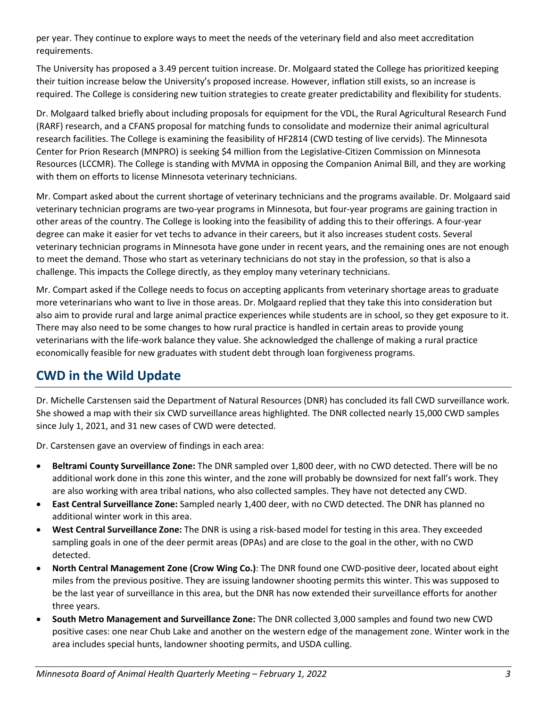per year. They continue to explore ways to meet the needs of the veterinary field and also meet accreditation requirements.

The University has proposed a 3.49 percent tuition increase. Dr. Molgaard stated the College has prioritized keeping their tuition increase below the University's proposed increase. However, inflation still exists, so an increase is required. The College is considering new tuition strategies to create greater predictability and flexibility for students.

Dr. Molgaard talked briefly about including proposals for equipment for the VDL, the Rural Agricultural Research Fund (RARF) research, and a CFANS proposal for matching funds to consolidate and modernize their animal agricultural research facilities. The College is examining the feasibility of HF2814 (CWD testing of live cervids). The Minnesota Center for Prion Research (MNPRO) is seeking \$4 million from the Legislative-Citizen Commission on Minnesota Resources (LCCMR). The College is standing with MVMA in opposing the Companion Animal Bill, and they are working with them on efforts to license Minnesota veterinary technicians.

Mr. Compart asked about the current shortage of veterinary technicians and the programs available. Dr. Molgaard said veterinary technician programs are two-year programs in Minnesota, but four-year programs are gaining traction in other areas of the country. The College is looking into the feasibility of adding this to their offerings. A four-year degree can make it easier for vet techs to advance in their careers, but it also increases student costs. Several veterinary technician programs in Minnesota have gone under in recent years, and the remaining ones are not enough to meet the demand. Those who start as veterinary technicians do not stay in the profession, so that is also a challenge. This impacts the College directly, as they employ many veterinary technicians.

Mr. Compart asked if the College needs to focus on accepting applicants from veterinary shortage areas to graduate more veterinarians who want to live in those areas. Dr. Molgaard replied that they take this into consideration but also aim to provide rural and large animal practice experiences while students are in school, so they get exposure to it. There may also need to be some changes to how rural practice is handled in certain areas to provide young veterinarians with the life-work balance they value. She acknowledged the challenge of making a rural practice economically feasible for new graduates with student debt through loan forgiveness programs.

# **CWD in the Wild Update**

Dr. Michelle Carstensen said the Department of Natural Resources (DNR) has concluded its fall CWD surveillance work. She showed a map with their six CWD surveillance areas highlighted. The DNR collected nearly 15,000 CWD samples since July 1, 2021, and 31 new cases of CWD were detected.

Dr. Carstensen gave an overview of findings in each area:

- **Beltrami County Surveillance Zone:** The DNR sampled over 1,800 deer, with no CWD detected. There will be no additional work done in this zone this winter, and the zone will probably be downsized for next fall's work. They are also working with area tribal nations, who also collected samples. They have not detected any CWD.
- **East Central Surveillance Zone:** Sampled nearly 1,400 deer, with no CWD detected. The DNR has planned no additional winter work in this area.
- **West Central Surveillance Zone:** The DNR is using a risk-based model for testing in this area. They exceeded sampling goals in one of the deer permit areas (DPAs) and are close to the goal in the other, with no CWD detected.
- **North Central Management Zone (Crow Wing Co.)**: The DNR found one CWD-positive deer, located about eight miles from the previous positive. They are issuing landowner shooting permits this winter. This was supposed to be the last year of surveillance in this area, but the DNR has now extended their surveillance efforts for another three years.
- **South Metro Management and Surveillance Zone:** The DNR collected 3,000 samples and found two new CWD positive cases: one near Chub Lake and another on the western edge of the management zone. Winter work in the area includes special hunts, landowner shooting permits, and USDA culling.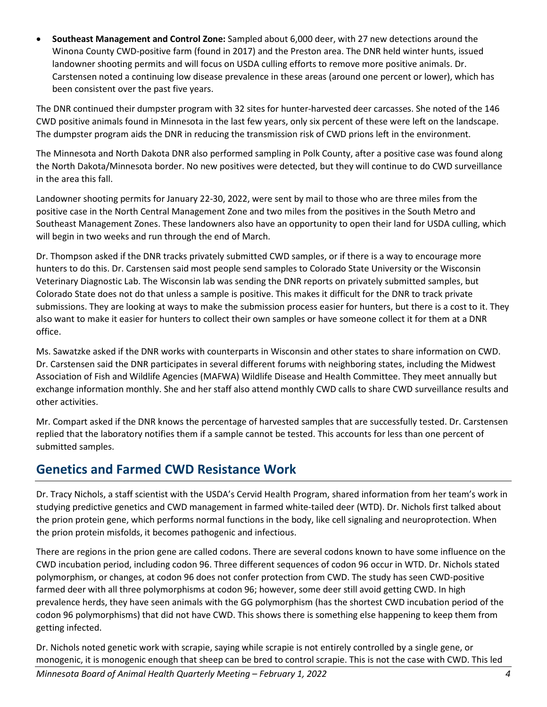• **Southeast Management and Control Zone:** Sampled about 6,000 deer, with 27 new detections around the Winona County CWD-positive farm (found in 2017) and the Preston area. The DNR held winter hunts, issued landowner shooting permits and will focus on USDA culling efforts to remove more positive animals. Dr. Carstensen noted a continuing low disease prevalence in these areas (around one percent or lower), which has been consistent over the past five years.

The DNR continued their dumpster program with 32 sites for hunter-harvested deer carcasses. She noted of the 146 CWD positive animals found in Minnesota in the last few years, only six percent of these were left on the landscape. The dumpster program aids the DNR in reducing the transmission risk of CWD prions left in the environment.

The Minnesota and North Dakota DNR also performed sampling in Polk County, after a positive case was found along the North Dakota/Minnesota border. No new positives were detected, but they will continue to do CWD surveillance in the area this fall.

Landowner shooting permits for January 22-30, 2022, were sent by mail to those who are three miles from the positive case in the North Central Management Zone and two miles from the positives in the South Metro and Southeast Management Zones. These landowners also have an opportunity to open their land for USDA culling, which will begin in two weeks and run through the end of March.

Dr. Thompson asked if the DNR tracks privately submitted CWD samples, or if there is a way to encourage more hunters to do this. Dr. Carstensen said most people send samples to Colorado State University or the Wisconsin Veterinary Diagnostic Lab. The Wisconsin lab was sending the DNR reports on privately submitted samples, but Colorado State does not do that unless a sample is positive. This makes it difficult for the DNR to track private submissions. They are looking at ways to make the submission process easier for hunters, but there is a cost to it. They also want to make it easier for hunters to collect their own samples or have someone collect it for them at a DNR office.

Ms. Sawatzke asked if the DNR works with counterparts in Wisconsin and other states to share information on CWD. Dr. Carstensen said the DNR participates in several different forums with neighboring states, including the Midwest Association of Fish and Wildlife Agencies (MAFWA) Wildlife Disease and Health Committee. They meet annually but exchange information monthly. She and her staff also attend monthly CWD calls to share CWD surveillance results and other activities.

Mr. Compart asked if the DNR knows the percentage of harvested samples that are successfully tested. Dr. Carstensen replied that the laboratory notifies them if a sample cannot be tested. This accounts for less than one percent of submitted samples.

### **Genetics and Farmed CWD Resistance Work**

Dr. Tracy Nichols, a staff scientist with the USDA's Cervid Health Program, shared information from her team's work in studying predictive genetics and CWD management in farmed white-tailed deer (WTD). Dr. Nichols first talked about the prion protein gene, which performs normal functions in the body, like cell signaling and neuroprotection. When the prion protein misfolds, it becomes pathogenic and infectious.

There are regions in the prion gene are called codons. There are several codons known to have some influence on the CWD incubation period, including codon 96. Three different sequences of codon 96 occur in WTD. Dr. Nichols stated polymorphism, or changes, at codon 96 does not confer protection from CWD. The study has seen CWD-positive farmed deer with all three polymorphisms at codon 96; however, some deer still avoid getting CWD. In high prevalence herds, they have seen animals with the GG polymorphism (has the shortest CWD incubation period of the codon 96 polymorphisms) that did not have CWD. This shows there is something else happening to keep them from getting infected.

Dr. Nichols noted genetic work with scrapie, saying while scrapie is not entirely controlled by a single gene, or monogenic, it is monogenic enough that sheep can be bred to control scrapie. This is not the case with CWD. This led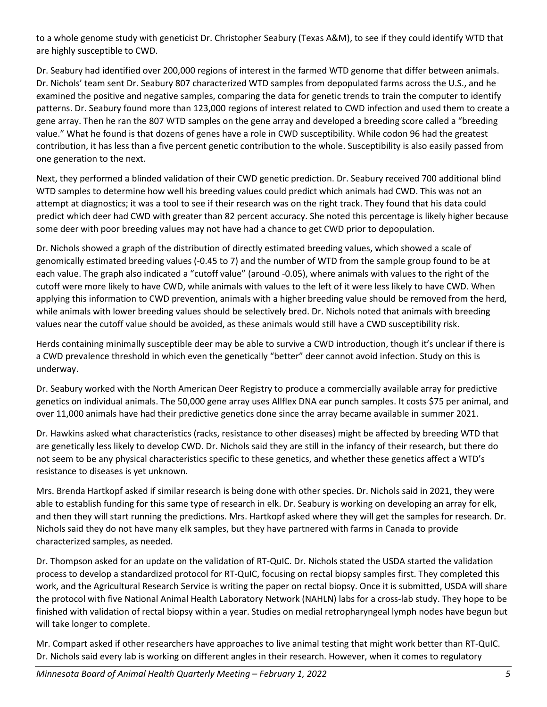to a whole genome study with geneticist Dr. Christopher Seabury (Texas A&M), to see if they could identify WTD that are highly susceptible to CWD.

Dr. Seabury had identified over 200,000 regions of interest in the farmed WTD genome that differ between animals. Dr. Nichols' team sent Dr. Seabury 807 characterized WTD samples from depopulated farms across the U.S., and he examined the positive and negative samples, comparing the data for genetic trends to train the computer to identify patterns. Dr. Seabury found more than 123,000 regions of interest related to CWD infection and used them to create a gene array. Then he ran the 807 WTD samples on the gene array and developed a breeding score called a "breeding value." What he found is that dozens of genes have a role in CWD susceptibility. While codon 96 had the greatest contribution, it has less than a five percent genetic contribution to the whole. Susceptibility is also easily passed from one generation to the next.

Next, they performed a blinded validation of their CWD genetic prediction. Dr. Seabury received 700 additional blind WTD samples to determine how well his breeding values could predict which animals had CWD. This was not an attempt at diagnostics; it was a tool to see if their research was on the right track. They found that his data could predict which deer had CWD with greater than 82 percent accuracy. She noted this percentage is likely higher because some deer with poor breeding values may not have had a chance to get CWD prior to depopulation.

Dr. Nichols showed a graph of the distribution of directly estimated breeding values, which showed a scale of genomically estimated breeding values (-0.45 to 7) and the number of WTD from the sample group found to be at each value. The graph also indicated a "cutoff value" (around -0.05), where animals with values to the right of the cutoff were more likely to have CWD, while animals with values to the left of it were less likely to have CWD. When applying this information to CWD prevention, animals with a higher breeding value should be removed from the herd, while animals with lower breeding values should be selectively bred. Dr. Nichols noted that animals with breeding values near the cutoff value should be avoided, as these animals would still have a CWD susceptibility risk.

Herds containing minimally susceptible deer may be able to survive a CWD introduction, though it's unclear if there is a CWD prevalence threshold in which even the genetically "better" deer cannot avoid infection. Study on this is underway.

Dr. Seabury worked with the North American Deer Registry to produce a commercially available array for predictive genetics on individual animals. The 50,000 gene array uses Allflex DNA ear punch samples. It costs \$75 per animal, and over 11,000 animals have had their predictive genetics done since the array became available in summer 2021.

Dr. Hawkins asked what characteristics (racks, resistance to other diseases) might be affected by breeding WTD that are genetically less likely to develop CWD. Dr. Nichols said they are still in the infancy of their research, but there do not seem to be any physical characteristics specific to these genetics, and whether these genetics affect a WTD's resistance to diseases is yet unknown.

Mrs. Brenda Hartkopf asked if similar research is being done with other species. Dr. Nichols said in 2021, they were able to establish funding for this same type of research in elk. Dr. Seabury is working on developing an array for elk, and then they will start running the predictions. Mrs. Hartkopf asked where they will get the samples for research. Dr. Nichols said they do not have many elk samples, but they have partnered with farms in Canada to provide characterized samples, as needed.

Dr. Thompson asked for an update on the validation of RT-QuIC. Dr. Nichols stated the USDA started the validation process to develop a standardized protocol for RT-QuIC, focusing on rectal biopsy samples first. They completed this work, and the Agricultural Research Service is writing the paper on rectal biopsy. Once it is submitted, USDA will share the protocol with five National Animal Health Laboratory Network (NAHLN) labs for a cross-lab study. They hope to be finished with validation of rectal biopsy within a year. Studies on medial retropharyngeal lymph nodes have begun but will take longer to complete.

Mr. Compart asked if other researchers have approaches to live animal testing that might work better than RT-QuIC. Dr. Nichols said every lab is working on different angles in their research. However, when it comes to regulatory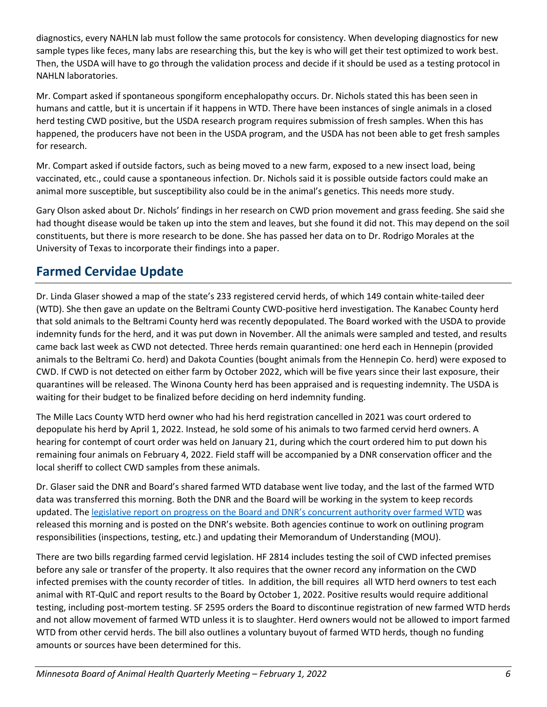diagnostics, every NAHLN lab must follow the same protocols for consistency. When developing diagnostics for new sample types like feces, many labs are researching this, but the key is who will get their test optimized to work best. Then, the USDA will have to go through the validation process and decide if it should be used as a testing protocol in NAHLN laboratories.

Mr. Compart asked if spontaneous spongiform encephalopathy occurs. Dr. Nichols stated this has been seen in humans and cattle, but it is uncertain if it happens in WTD. There have been instances of single animals in a closed herd testing CWD positive, but the USDA research program requires submission of fresh samples. When this has happened, the producers have not been in the USDA program, and the USDA has not been able to get fresh samples for research.

Mr. Compart asked if outside factors, such as being moved to a new farm, exposed to a new insect load, being vaccinated, etc., could cause a spontaneous infection. Dr. Nichols said it is possible outside factors could make an animal more susceptible, but susceptibility also could be in the animal's genetics. This needs more study.

Gary Olson asked about Dr. Nichols' findings in her research on CWD prion movement and grass feeding. She said she had thought disease would be taken up into the stem and leaves, but she found it did not. This may depend on the soil constituents, but there is more research to be done. She has passed her data on to Dr. Rodrigo Morales at the University of Texas to incorporate their findings into a paper.

## **Farmed Cervidae Update**

Dr. Linda Glaser showed a map of the state's 233 registered cervid herds, of which 149 contain white-tailed deer (WTD). She then gave an update on the Beltrami County CWD-positive herd investigation. The Kanabec County herd that sold animals to the Beltrami County herd was recently depopulated. The Board worked with the USDA to provide indemnity funds for the herd, and it was put down in November. All the animals were sampled and tested, and results came back last week as CWD not detected. Three herds remain quarantined: one herd each in Hennepin (provided animals to the Beltrami Co. herd) and Dakota Counties (bought animals from the Hennepin Co. herd) were exposed to CWD. If CWD is not detected on either farm by October 2022, which will be five years since their last exposure, their quarantines will be released. The Winona County herd has been appraised and is requesting indemnity. The USDA is waiting for their budget to be finalized before deciding on herd indemnity funding.

The Mille Lacs County WTD herd owner who had his herd registration cancelled in 2021 was court ordered to depopulate his herd by April 1, 2022. Instead, he sold some of his animals to two farmed cervid herd owners. A hearing for contempt of court order was held on January 21, during which the court ordered him to put down his remaining four animals on February 4, 2022. Field staff will be accompanied by a DNR conservation officer and the local sheriff to collect CWD samples from these animals.

Dr. Glaser said the DNR and Board's shared farmed WTD database went live today, and the last of the farmed WTD data was transferred this morning. Both the DNR and the Board will be working in the system to keep records updated. Th[e legislative report on progress on the Board and DNR's concurrent authority over farmed WTD](https://files.dnr.state.mn.us/aboutdnr/reports/legislative/2022/concurrent-authority-legislative-report-farmed-deer.pdf) was released this morning and is posted on the DNR's website. Both agencies continue to work on outlining program responsibilities (inspections, testing, etc.) and updating their Memorandum of Understanding (MOU).

There are two bills regarding farmed cervid legislation. HF 2814 includes testing the soil of CWD infected premises before any sale or transfer of the property. It also requires that the owner record any information on the CWD infected premises with the county recorder of titles. In addition, the bill requires all WTD herd owners to test each animal with RT-QuIC and report results to the Board by October 1, 2022. Positive results would require additional testing, including post-mortem testing. SF 2595 orders the Board to discontinue registration of new farmed WTD herds and not allow movement of farmed WTD unless it is to slaughter. Herd owners would not be allowed to import farmed WTD from other cervid herds. The bill also outlines a voluntary buyout of farmed WTD herds, though no funding amounts or sources have been determined for this.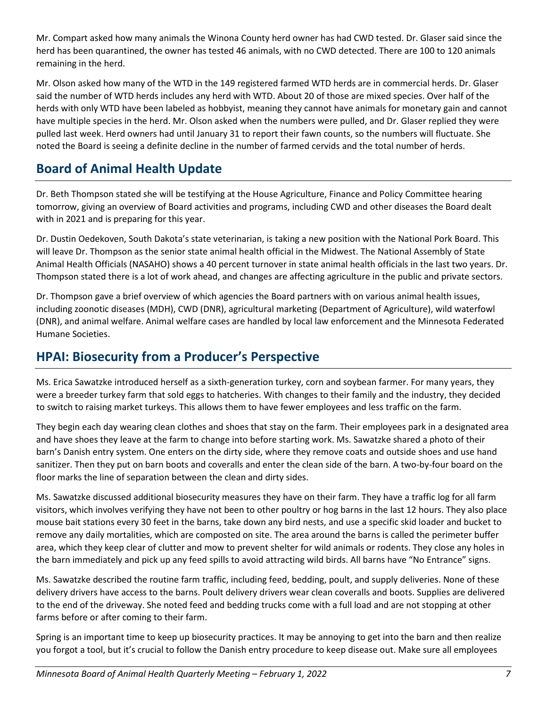Mr. Compart asked how many animals the Winona County herd owner has had CWD tested. Dr. Glaser said since the herd has been quarantined, the owner has tested 46 animals, with no CWD detected. There are 100 to 120 animals remaining in the herd.

Mr. Olson asked how many of the WTD in the 149 registered farmed WTD herds are in commercial herds. Dr. Glaser said the number of WTD herds includes any herd with WTD. About 20 of those are mixed species. Over half of the herds with only WTD have been labeled as hobbyist, meaning they cannot have animals for monetary gain and cannot have multiple species in the herd. Mr. Olson asked when the numbers were pulled, and Dr. Glaser replied they were pulled last week. Herd owners had until January 31 to report their fawn counts, so the numbers will fluctuate. She noted the Board is seeing a definite decline in the number of farmed cervids and the total number of herds.

# **Board of Animal Health Update**

Dr. Beth Thompson stated she will be testifying at the House Agriculture, Finance and Policy Committee hearing tomorrow, giving an overview of Board activities and programs, including CWD and other diseases the Board dealt with in 2021 and is preparing for this year.

Dr. Dustin Oedekoven, South Dakota's state veterinarian, is taking a new position with the National Pork Board. This will leave Dr. Thompson as the senior state animal health official in the Midwest. The National Assembly of State Animal Health Officials (NASAHO) shows a 40 percent turnover in state animal health officials in the last two years. Dr. Thompson stated there is a lot of work ahead, and changes are affecting agriculture in the public and private sectors.

Dr. Thompson gave a brief overview of which agencies the Board partners with on various animal health issues, including zoonotic diseases (MDH), CWD (DNR), agricultural marketing (Department of Agriculture), wild waterfowl (DNR), and animal welfare. Animal welfare cases are handled by local law enforcement and the Minnesota Federated Humane Societies.

# **HPAI: Biosecurity from a Producer's Perspective**

Ms. Erica Sawatzke introduced herself as a sixth-generation turkey, corn and soybean farmer. For many years, they were a breeder turkey farm that sold eggs to hatcheries. With changes to their family and the industry, they decided to switch to raising market turkeys. This allows them to have fewer employees and less traffic on the farm.

They begin each day wearing clean clothes and shoes that stay on the farm. Their employees park in a designated area and have shoes they leave at the farm to change into before starting work. Ms. Sawatzke shared a photo of their barn's Danish entry system. One enters on the dirty side, where they remove coats and outside shoes and use hand sanitizer. Then they put on barn boots and coveralls and enter the clean side of the barn. A two-by-four board on the floor marks the line of separation between the clean and dirty sides.

Ms. Sawatzke discussed additional biosecurity measures they have on their farm. They have a traffic log for all farm visitors, which involves verifying they have not been to other poultry or hog barns in the last 12 hours. They also place mouse bait stations every 30 feet in the barns, take down any bird nests, and use a specific skid loader and bucket to remove any daily mortalities, which are composted on site. The area around the barns is called the perimeter buffer area, which they keep clear of clutter and mow to prevent shelter for wild animals or rodents. They close any holes in the barn immediately and pick up any feed spills to avoid attracting wild birds. All barns have "No Entrance" signs.

Ms. Sawatzke described the routine farm traffic, including feed, bedding, poult, and supply deliveries. None of these delivery drivers have access to the barns. Poult delivery drivers wear clean coveralls and boots. Supplies are delivered to the end of the driveway. She noted feed and bedding trucks come with a full load and are not stopping at other farms before or after coming to their farm.

Spring is an important time to keep up biosecurity practices. It may be annoying to get into the barn and then realize you forgot a tool, but it's crucial to follow the Danish entry procedure to keep disease out. Make sure all employees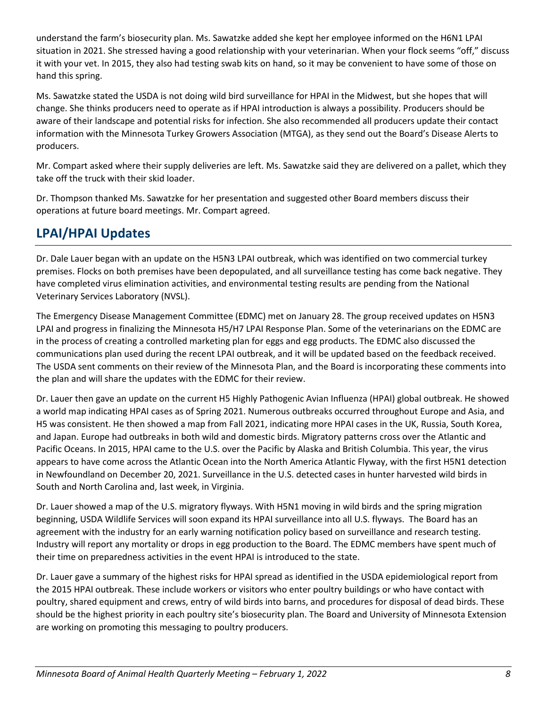understand the farm's biosecurity plan. Ms. Sawatzke added she kept her employee informed on the H6N1 LPAI situation in 2021. She stressed having a good relationship with your veterinarian. When your flock seems "off," discuss it with your vet. In 2015, they also had testing swab kits on hand, so it may be convenient to have some of those on hand this spring.

Ms. Sawatzke stated the USDA is not doing wild bird surveillance for HPAI in the Midwest, but she hopes that will change. She thinks producers need to operate as if HPAI introduction is always a possibility. Producers should be aware of their landscape and potential risks for infection. She also recommended all producers update their contact information with the Minnesota Turkey Growers Association (MTGA), as they send out the Board's Disease Alerts to producers.

Mr. Compart asked where their supply deliveries are left. Ms. Sawatzke said they are delivered on a pallet, which they take off the truck with their skid loader.

Dr. Thompson thanked Ms. Sawatzke for her presentation and suggested other Board members discuss their operations at future board meetings. Mr. Compart agreed.

### **LPAI/HPAI Updates**

Dr. Dale Lauer began with an update on the H5N3 LPAI outbreak, which was identified on two commercial turkey premises. Flocks on both premises have been depopulated, and all surveillance testing has come back negative. They have completed virus elimination activities, and environmental testing results are pending from the National Veterinary Services Laboratory (NVSL).

The Emergency Disease Management Committee (EDMC) met on January 28. The group received updates on H5N3 LPAI and progress in finalizing the Minnesota H5/H7 LPAI Response Plan. Some of the veterinarians on the EDMC are in the process of creating a controlled marketing plan for eggs and egg products. The EDMC also discussed the communications plan used during the recent LPAI outbreak, and it will be updated based on the feedback received. The USDA sent comments on their review of the Minnesota Plan, and the Board is incorporating these comments into the plan and will share the updates with the EDMC for their review.

Dr. Lauer then gave an update on the current H5 Highly Pathogenic Avian Influenza (HPAI) global outbreak. He showed a world map indicating HPAI cases as of Spring 2021. Numerous outbreaks occurred throughout Europe and Asia, and H5 was consistent. He then showed a map from Fall 2021, indicating more HPAI cases in the UK, Russia, South Korea, and Japan. Europe had outbreaks in both wild and domestic birds. Migratory patterns cross over the Atlantic and Pacific Oceans. In 2015, HPAI came to the U.S. over the Pacific by Alaska and British Columbia. This year, the virus appears to have come across the Atlantic Ocean into the North America Atlantic Flyway, with the first H5N1 detection in Newfoundland on December 20, 2021. Surveillance in the U.S. detected cases in hunter harvested wild birds in South and North Carolina and, last week, in Virginia.

Dr. Lauer showed a map of the U.S. migratory flyways. With H5N1 moving in wild birds and the spring migration beginning, USDA Wildlife Services will soon expand its HPAI surveillance into all U.S. flyways. The Board has an agreement with the industry for an early warning notification policy based on surveillance and research testing. Industry will report any mortality or drops in egg production to the Board. The EDMC members have spent much of their time on preparedness activities in the event HPAI is introduced to the state.

Dr. Lauer gave a summary of the highest risks for HPAI spread as identified in the USDA epidemiological report from the 2015 HPAI outbreak. These include workers or visitors who enter poultry buildings or who have contact with poultry, shared equipment and crews, entry of wild birds into barns, and procedures for disposal of dead birds. These should be the highest priority in each poultry site's biosecurity plan. The Board and University of Minnesota Extension are working on promoting this messaging to poultry producers.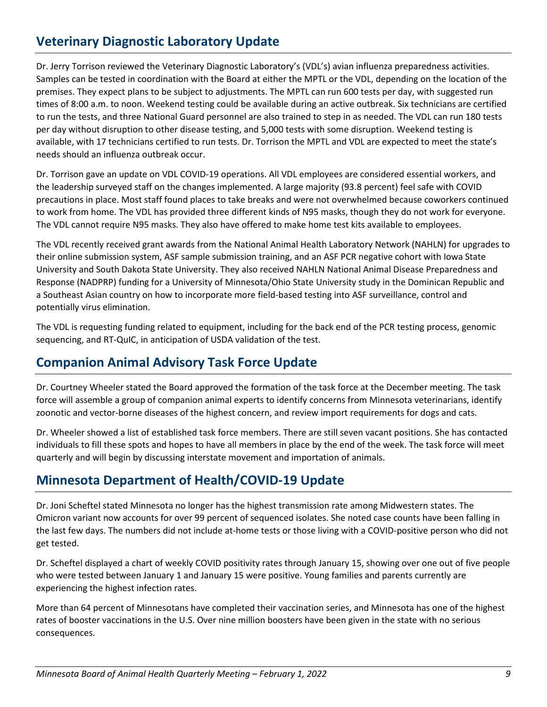# **Veterinary Diagnostic Laboratory Update**

Dr. Jerry Torrison reviewed the Veterinary Diagnostic Laboratory's (VDL's) avian influenza preparedness activities. Samples can be tested in coordination with the Board at either the MPTL or the VDL, depending on the location of the premises. They expect plans to be subject to adjustments. The MPTL can run 600 tests per day, with suggested run times of 8:00 a.m. to noon. Weekend testing could be available during an active outbreak. Six technicians are certified to run the tests, and three National Guard personnel are also trained to step in as needed. The VDL can run 180 tests per day without disruption to other disease testing, and 5,000 tests with some disruption. Weekend testing is available, with 17 technicians certified to run tests. Dr. Torrison the MPTL and VDL are expected to meet the state's needs should an influenza outbreak occur.

Dr. Torrison gave an update on VDL COVID-19 operations. All VDL employees are considered essential workers, and the leadership surveyed staff on the changes implemented. A large majority (93.8 percent) feel safe with COVID precautions in place. Most staff found places to take breaks and were not overwhelmed because coworkers continued to work from home. The VDL has provided three different kinds of N95 masks, though they do not work for everyone. The VDL cannot require N95 masks. They also have offered to make home test kits available to employees.

The VDL recently received grant awards from the National Animal Health Laboratory Network (NAHLN) for upgrades to their online submission system, ASF sample submission training, and an ASF PCR negative cohort with Iowa State University and South Dakota State University. They also received NAHLN National Animal Disease Preparedness and Response (NADPRP) funding for a University of Minnesota/Ohio State University study in the Dominican Republic and a Southeast Asian country on how to incorporate more field-based testing into ASF surveillance, control and potentially virus elimination.

The VDL is requesting funding related to equipment, including for the back end of the PCR testing process, genomic sequencing, and RT-QuIC, in anticipation of USDA validation of the test.

### **Companion Animal Advisory Task Force Update**

Dr. Courtney Wheeler stated the Board approved the formation of the task force at the December meeting. The task force will assemble a group of companion animal experts to identify concerns from Minnesota veterinarians, identify zoonotic and vector-borne diseases of the highest concern, and review import requirements for dogs and cats.

Dr. Wheeler showed a list of established task force members. There are still seven vacant positions. She has contacted individuals to fill these spots and hopes to have all members in place by the end of the week. The task force will meet quarterly and will begin by discussing interstate movement and importation of animals.

### **Minnesota Department of Health/COVID-19 Update**

Dr. Joni Scheftel stated Minnesota no longer has the highest transmission rate among Midwestern states. The Omicron variant now accounts for over 99 percent of sequenced isolates. She noted case counts have been falling in the last few days. The numbers did not include at-home tests or those living with a COVID-positive person who did not get tested.

Dr. Scheftel displayed a chart of weekly COVID positivity rates through January 15, showing over one out of five people who were tested between January 1 and January 15 were positive. Young families and parents currently are experiencing the highest infection rates.

More than 64 percent of Minnesotans have completed their vaccination series, and Minnesota has one of the highest rates of booster vaccinations in the U.S. Over nine million boosters have been given in the state with no serious consequences.